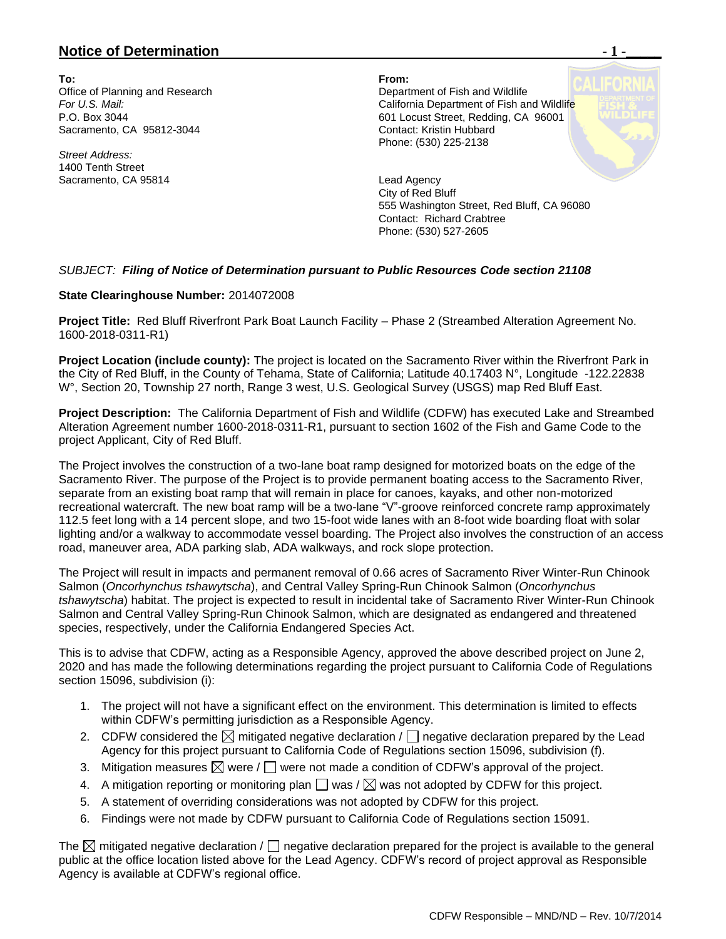## **Notice of Determination**  $\blacksquare$  **1 -**

**To: From:**  Sacramento, CA 95812-3044 Contact: Kristin Hubbard

*Street Address:* 1400 Tenth Street Sacramento, CA 95814 **Lead Agency** 

Office of Planning and Research Department of Fish and Wildlife **For U.S. Mail:** For U.S. Mail:  $\overline{C}$  California Department of Fish and Wildlife P.O. Box 3044 **601 Locust Street, Redding, CA 96001** Phone: (530) 225-2138

> City of Red Bluff 555 Washington Street, Red Bluff, CA 96080 Contact: Richard Crabtree Phone: (530) 527-2605

## *SUBJECT: Filing of Notice of Determination pursuant to Public Resources Code section 21108*

## **State Clearinghouse Number:** 2014072008

**Project Title:** Red Bluff Riverfront Park Boat Launch Facility – Phase 2 (Streambed Alteration Agreement No. 1600-2018-0311-R1)

**Project Location (include county):** The project is located on the Sacramento River within the Riverfront Park in the City of Red Bluff, in the County of Tehama, State of California; Latitude 40.17403 N°, Longitude -122.22838 W°, Section 20, Township 27 north, Range 3 west, U.S. Geological Survey (USGS) map Red Bluff East.

**Project Description:** The California Department of Fish and Wildlife (CDFW) has executed Lake and Streambed Alteration Agreement number 1600-2018-0311-R1, pursuant to section 1602 of the Fish and Game Code to the project Applicant, City of Red Bluff.

The Project involves the construction of a two-lane boat ramp designed for motorized boats on the edge of the Sacramento River. The purpose of the Project is to provide permanent boating access to the Sacramento River, separate from an existing boat ramp that will remain in place for canoes, kayaks, and other non-motorized recreational watercraft. The new boat ramp will be a two-lane "V"-groove reinforced concrete ramp approximately 112.5 feet long with a 14 percent slope, and two 15-foot wide lanes with an 8-foot wide boarding float with solar lighting and/or a walkway to accommodate vessel boarding. The Project also involves the construction of an access road, maneuver area, ADA parking slab, ADA walkways, and rock slope protection.

The Project will result in impacts and permanent removal of 0.66 acres of Sacramento River Winter-Run Chinook Salmon (*Oncorhynchus tshawytscha*), and Central Valley Spring-Run Chinook Salmon (*Oncorhynchus tshawytscha*) habitat. The project is expected to result in incidental take of Sacramento River Winter-Run Chinook Salmon and Central Valley Spring-Run Chinook Salmon, which are designated as endangered and threatened species, respectively, under the California Endangered Species Act.

This is to advise that CDFW, acting as a Responsible Agency, approved the above described project on June 2, 2020 and has made the following determinations regarding the project pursuant to California Code of Regulations section 15096, subdivision (i):

- 1. The project will not have a significant effect on the environment. This determination is limited to effects within CDFW's permitting jurisdiction as a Responsible Agency.
- 2. CDFW considered the  $\boxtimes$  mitigated negative declaration /  $\Box$  negative declaration prepared by the Lead Agency for this project pursuant to California Code of Regulations section 15096, subdivision (f).
- 3. Mitigation measures  $\boxtimes$  were /  $\Box$  were not made a condition of CDFW's approval of the project.
- 4. A mitigation reporting or monitoring plan  $\Box$  was /  $\boxtimes$  was not adopted by CDFW for this project.
- 5. A statement of overriding considerations was not adopted by CDFW for this project.
- 6. Findings were not made by CDFW pursuant to California Code of Regulations section 15091.

The  $\boxtimes$  mitigated negative declaration /  $\Box$  negative declaration prepared for the project is available to the general public at the office location listed above for the Lead Agency. CDFW's record of project approval as Responsible Agency is available at CDFW's regional office.